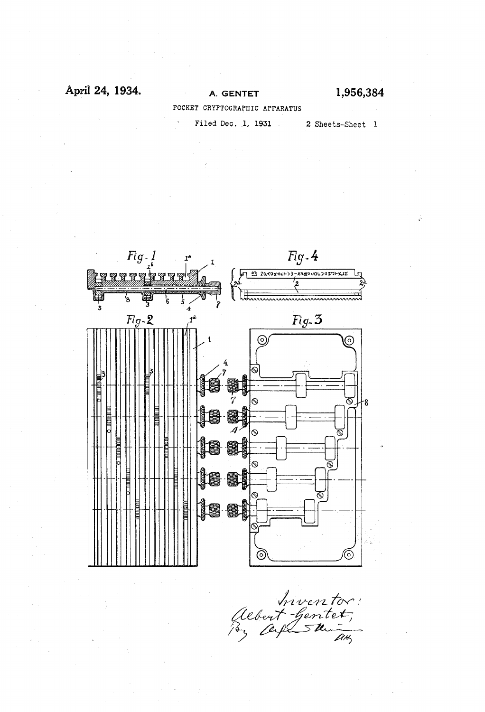### April 24, 1934.

## A. GENTET

1,956,384

POCKET CRYPTOGRAPHIC APPARATUS

Filed Dec. 1, 1931

2 Sheets-Sheet 1



mventor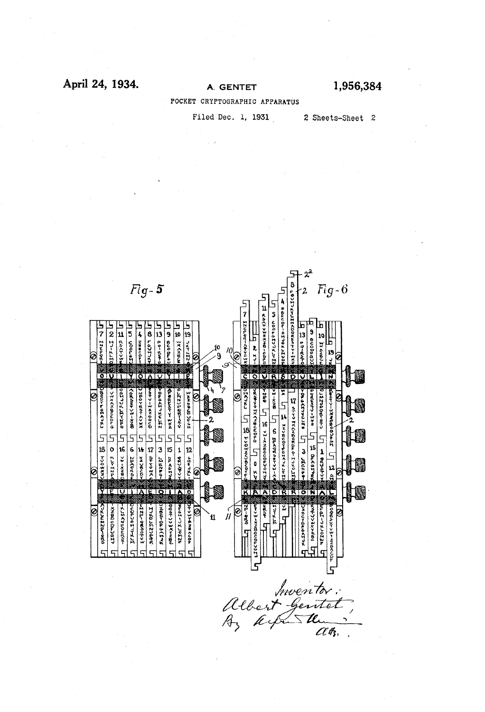### April 24, 1934.

1,956,384

POCKET CRYPTOGRAPHIC APPARATUS

Filed Dec. 1, 1931

2 Sheets-Sheet 2